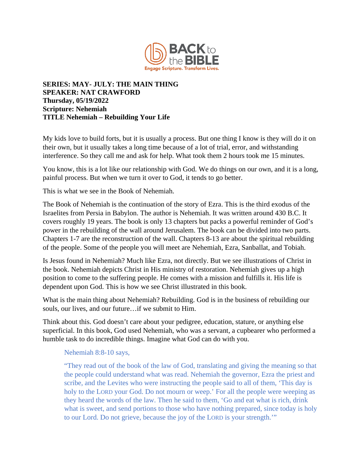

## **SERIES: MAY- JULY: THE MAIN THING SPEAKER: NAT CRAWFORD Thursday, 05/19/2022 Scripture: Nehemiah TITLE Nehemiah – Rebuilding Your Life**

My kids love to build forts, but it is usually a process. But one thing I know is they will do it on their own, but it usually takes a long time because of a lot of trial, error, and withstanding interference. So they call me and ask for help. What took them 2 hours took me 15 minutes.

You know, this is a lot like our relationship with God. We do things on our own, and it is a long, painful process. But when we turn it over to God, it tends to go better.

This is what we see in the Book of Nehemiah.

The Book of Nehemiah is the continuation of the story of Ezra. This is the third exodus of the Israelites from Persia in Babylon. The author is Nehemiah. It was written around 430 B.C. It covers roughly 19 years. The book is only 13 chapters but packs a powerful reminder of God's power in the rebuilding of the wall around Jerusalem. The book can be divided into two parts. Chapters 1-7 are the reconstruction of the wall. Chapters 8-13 are about the spiritual rebuilding of the people. Some of the people you will meet are Nehemiah, Ezra, Sanballat, and Tobiah.

Is Jesus found in Nehemiah? Much like Ezra, not directly. But we see illustrations of Christ in the book. Nehemiah depicts Christ in His ministry of restoration. Nehemiah gives up a high position to come to the suffering people. He comes with a mission and fulfills it. His life is dependent upon God. This is how we see Christ illustrated in this book.

What is the main thing about Nehemiah? Rebuilding. God is in the business of rebuilding our souls, our lives, and our future…if we submit to Him.

Think about this. God doesn't care about your pedigree, education, stature, or anything else superficial. In this book, God used Nehemiah, who was a servant, a cupbearer who performed a humble task to do incredible things. Imagine what God can do with you.

Nehemiah 8:8-10 says,

"They read out of the book of the law of God, translating and giving the meaning so that the people could understand what was read. Nehemiah the governor, Ezra the priest and scribe, and the Levites who were instructing the people said to all of them, 'This day is holy to the LORD your God. Do not mourn or weep.' For all the people were weeping as they heard the words of the law. Then he said to them, 'Go and eat what is rich, drink what is sweet, and send portions to those who have nothing prepared, since today is holy to our Lord. Do not grieve, because the joy of the LORD is your strength.'"